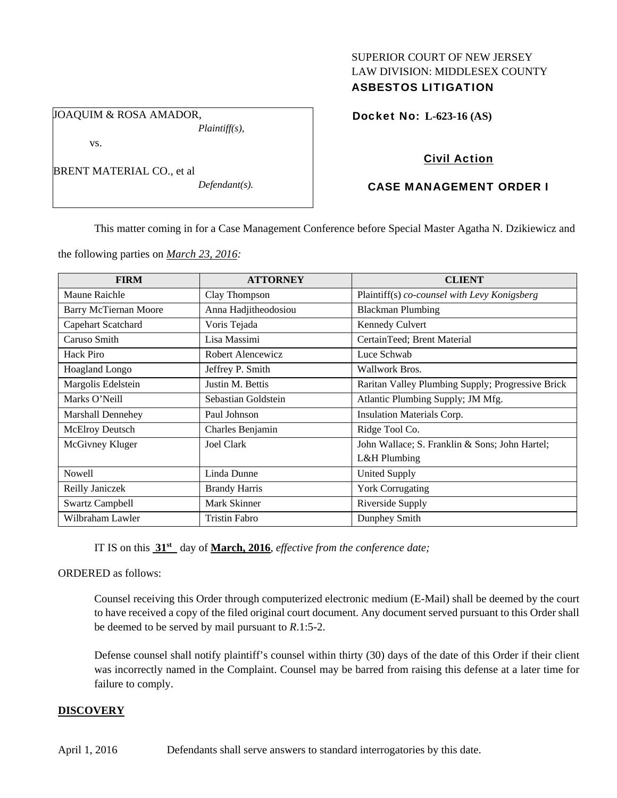# SUPERIOR COURT OF NEW JERSEY LAW DIVISION: MIDDLESEX COUNTY ASBESTOS LITIGATION

JOAQUIM & ROSA AMADOR, *Plaintiff(s),* 

vs.

*Defendant(s).* 

# Docket No: **L-623-16 (AS)**

## Civil Action

# CASE MANAGEMENT ORDER I

This matter coming in for a Case Management Conference before Special Master Agatha N. Dzikiewicz and

the following parties on *March 23, 2016:* 

| <b>FIRM</b>                  | <b>ATTORNEY</b>      | <b>CLIENT</b>                                     |
|------------------------------|----------------------|---------------------------------------------------|
| Maune Raichle                | Clay Thompson        | Plaintiff(s) co-counsel with Levy Konigsberg      |
| <b>Barry McTiernan Moore</b> | Anna Hadjitheodosiou | <b>Blackman Plumbing</b>                          |
| Capehart Scatchard           | Voris Tejada         | <b>Kennedy Culvert</b>                            |
| Caruso Smith                 | Lisa Massimi         | CertainTeed; Brent Material                       |
| Hack Piro                    | Robert Alencewicz    | Luce Schwab                                       |
| Hoagland Longo               | Jeffrey P. Smith     | Wallwork Bros.                                    |
| Margolis Edelstein           | Justin M. Bettis     | Raritan Valley Plumbing Supply; Progressive Brick |
| Marks O'Neill                | Sebastian Goldstein  | Atlantic Plumbing Supply; JM Mfg.                 |
| <b>Marshall Dennehey</b>     | Paul Johnson         | Insulation Materials Corp.                        |
| McElroy Deutsch              | Charles Benjamin     | Ridge Tool Co.                                    |
| McGivney Kluger              | Joel Clark           | John Wallace; S. Franklin & Sons; John Hartel;    |
|                              |                      | L&H Plumbing                                      |
| Nowell                       | Linda Dunne          | <b>United Supply</b>                              |
| Reilly Janiczek              | <b>Brandy Harris</b> | <b>York Corrugating</b>                           |
| <b>Swartz Campbell</b>       | Mark Skinner         | <b>Riverside Supply</b>                           |
| Wilbraham Lawler             | <b>Tristin Fabro</b> | Dunphey Smith                                     |

IT IS on this **31st** day of **March, 2016**, *effective from the conference date;*

ORDERED as follows:

Counsel receiving this Order through computerized electronic medium (E-Mail) shall be deemed by the court to have received a copy of the filed original court document. Any document served pursuant to this Order shall be deemed to be served by mail pursuant to *R*.1:5-2.

Defense counsel shall notify plaintiff's counsel within thirty (30) days of the date of this Order if their client was incorrectly named in the Complaint. Counsel may be barred from raising this defense at a later time for failure to comply.

## **DISCOVERY**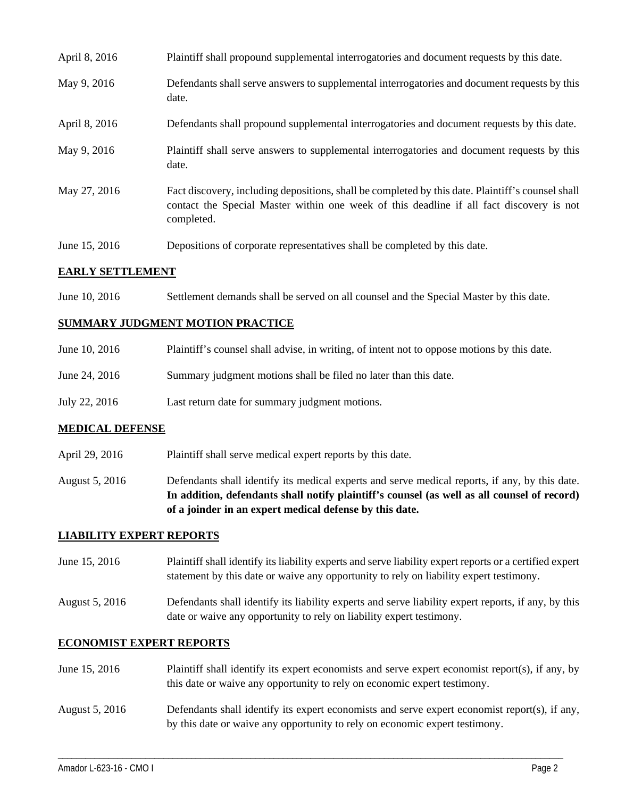| April 8, 2016 | Plaintiff shall propound supplemental interrogatories and document requests by this date.                                                                                                                   |
|---------------|-------------------------------------------------------------------------------------------------------------------------------------------------------------------------------------------------------------|
| May 9, 2016   | Defendants shall serve answers to supplemental interrogatories and document requests by this<br>date.                                                                                                       |
| April 8, 2016 | Defendants shall propound supplemental interrogatories and document requests by this date.                                                                                                                  |
| May 9, 2016   | Plaintiff shall serve answers to supplemental interrogatories and document requests by this<br>date.                                                                                                        |
| May 27, 2016  | Fact discovery, including depositions, shall be completed by this date. Plaintiff's counsel shall<br>contact the Special Master within one week of this deadline if all fact discovery is not<br>completed. |
| June 15, 2016 | Depositions of corporate representatives shall be completed by this date.                                                                                                                                   |

### **EARLY SETTLEMENT**

June 10, 2016 Settlement demands shall be served on all counsel and the Special Master by this date.

### **SUMMARY JUDGMENT MOTION PRACTICE**

| June 10, 2016 | Plaintiff's counsel shall advise, in writing, of intent not to oppose motions by this date. |
|---------------|---------------------------------------------------------------------------------------------|
| June 24, 2016 | Summary judgment motions shall be filed no later than this date.                            |
| July 22, 2016 | Last return date for summary judgment motions.                                              |

#### **MEDICAL DEFENSE**

- April 29, 2016 Plaintiff shall serve medical expert reports by this date.
- August 5, 2016 Defendants shall identify its medical experts and serve medical reports, if any, by this date. **In addition, defendants shall notify plaintiff's counsel (as well as all counsel of record) of a joinder in an expert medical defense by this date.**

#### **LIABILITY EXPERT REPORTS**

- June 15, 2016 Plaintiff shall identify its liability experts and serve liability expert reports or a certified expert statement by this date or waive any opportunity to rely on liability expert testimony.
- August 5, 2016 Defendants shall identify its liability experts and serve liability expert reports, if any, by this date or waive any opportunity to rely on liability expert testimony.

#### **ECONOMIST EXPERT REPORTS**

| June 15, 2016  | Plaintiff shall identify its expert economists and serve expert economist report(s), if any, by<br>this date or waive any opportunity to rely on economic expert testimony.      |
|----------------|----------------------------------------------------------------------------------------------------------------------------------------------------------------------------------|
| August 5, 2016 | Defendants shall identify its expert economists and serve expert economist report $(s)$ , if any,<br>by this date or waive any opportunity to rely on economic expert testimony. |

\_\_\_\_\_\_\_\_\_\_\_\_\_\_\_\_\_\_\_\_\_\_\_\_\_\_\_\_\_\_\_\_\_\_\_\_\_\_\_\_\_\_\_\_\_\_\_\_\_\_\_\_\_\_\_\_\_\_\_\_\_\_\_\_\_\_\_\_\_\_\_\_\_\_\_\_\_\_\_\_\_\_\_\_\_\_\_\_\_\_\_\_\_\_\_\_\_\_\_\_\_\_\_\_\_\_\_\_\_\_